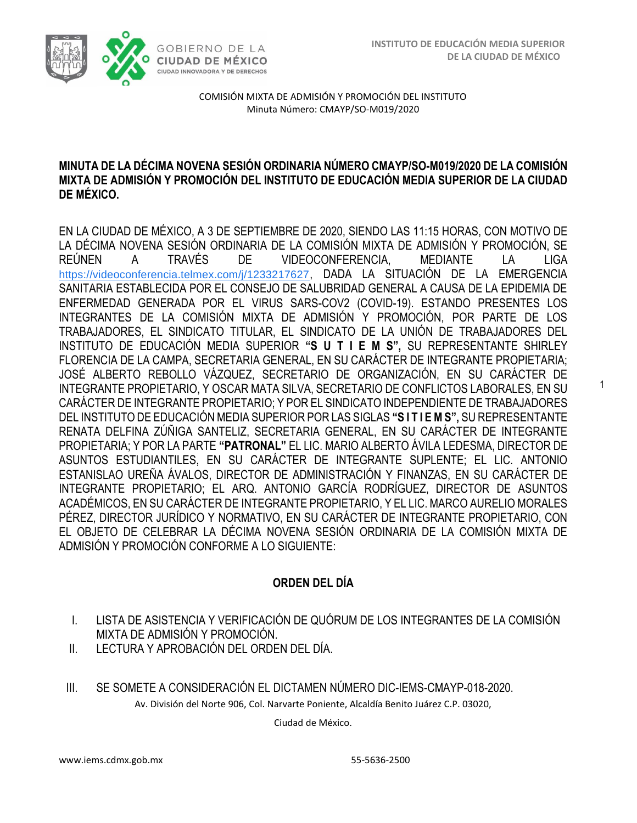1



COMISIÓN MIXTA DE ADMISIÓN Y PROMOCIÓN DEL INSTITUTO Minuta Número: CMAYP/SO-M019/2020

### **MINUTA DE LA DÉCIMA NOVENA SESIÓN ORDINARIA NÚMERO CMAYP/SO-M019/2020 DE LA COMISIÓN MIXTA DE ADMISIÓN Y PROMOCIÓN DEL INSTITUTO DE EDUCACIÓN MEDIA SUPERIOR DE LA CIUDAD DE MÉXICO.**

EN LA CIUDAD DE MÉXICO, A 3 DE SEPTIEMBRE DE 2020, SIENDO LAS 11:15 HORAS, CON MOTIVO DE LA DÉCIMA NOVENA SESIÓN ORDINARIA DE LA COMISIÓN MIXTA DE ADMISIÓN Y PROMOCIÓN, SE REÚNEN A TRAVÉS DE VIDEOCONFERENCIA, MEDIANTE LA LIGA [https://videoconferencia.telmex.com/j/1233217627](https://www.google.com/url?q=https://videoconferencia.telmex.com/j/1233217627&sa=D&source=calendar&ust=1599594533830000&usg=AOvVaw0IoGx4ExQVmDechQd0bTEN), DADA LA SITUACIÓN DE LA EMERGENCIA SANITARIA ESTABLECIDA POR EL CONSEJO DE SALUBRIDAD GENERAL A CAUSA DE LA EPIDEMIA DE ENFERMEDAD GENERADA POR EL VIRUS SARS-COV2 (COVID-19). ESTANDO PRESENTES LOS INTEGRANTES DE LA COMISIÓN MIXTA DE ADMISIÓN Y PROMOCIÓN, POR PARTE DE LOS TRABAJADORES, EL SINDICATO TITULAR, EL SINDICATO DE LA UNIÓN DE TRABAJADORES DEL INSTITUTO DE EDUCACIÓN MEDIA SUPERIOR **"S U T I E M S",** SU REPRESENTANTE SHIRLEY FLORENCIA DE LA CAMPA, SECRETARIA GENERAL, EN SU CARÁCTER DE INTEGRANTE PROPIETARIA; JOSÉ ALBERTO REBOLLO VÁZQUEZ, SECRETARIO DE ORGANIZACIÓN, EN SU CARÁCTER DE INTEGRANTE PROPIETARIO, Y OSCAR MATA SILVA, SECRETARIO DE CONFLICTOS LABORALES, EN SU CARÁCTER DE INTEGRANTE PROPIETARIO; Y POR EL SINDICATO INDEPENDIENTE DE TRABAJADORES DEL INSTITUTO DE EDUCACIÓN MEDIA SUPERIOR POR LAS SIGLAS **"S I T I E M S",** SU REPRESENTANTE RENATA DELFINA ZÚÑIGA SANTELIZ, SECRETARIA GENERAL, EN SU CARÁCTER DE INTEGRANTE PROPIETARIA; Y POR LA PARTE **"PATRONAL"** EL LIC. MARIO ALBERTO ÁVILA LEDESMA, DIRECTOR DE ASUNTOS ESTUDIANTILES, EN SU CARÁCTER DE INTEGRANTE SUPLENTE; EL LIC. ANTONIO ESTANISLAO UREÑA ÁVALOS, DIRECTOR DE ADMINISTRACIÓN Y FINANZAS, EN SU CARÁCTER DE INTEGRANTE PROPIETARIO; EL ARQ. ANTONIO GARCÍA RODRÍGUEZ, DIRECTOR DE ASUNTOS ACADÉMICOS, EN SU CARÁCTER DE INTEGRANTE PROPIETARIO, Y EL LIC. MARCO AURELIO MORALES PÉREZ, DIRECTOR JURÍDICO Y NORMATIVO, EN SU CARÁCTER DE INTEGRANTE PROPIETARIO, CON EL OBJETO DE CELEBRAR LA DÉCIMA NOVENA SESIÓN ORDINARIA DE LA COMISIÓN MIXTA DE ADMISIÓN Y PROMOCIÓN CONFORME A LO SIGUIENTE:

# **ORDEN DEL DÍA**

- I. LISTA DE ASISTENCIA Y VERIFICACIÓN DE QUÓRUM DE LOS INTEGRANTES DE LA COMISIÓN MIXTA DE ADMISIÓN Y PROMOCIÓN.
- II. LECTURA Y APROBACIÓN DEL ORDEN DEL DÍA.
- Av. División del Norte 906, Col. Narvarte Poniente, Alcaldía Benito Juárez C.P. 03020, III. SE SOMETE A CONSIDERACIÓN EL DICTAMEN NÚMERO DIC-IEMS-CMAYP-018-2020.

Ciudad de México.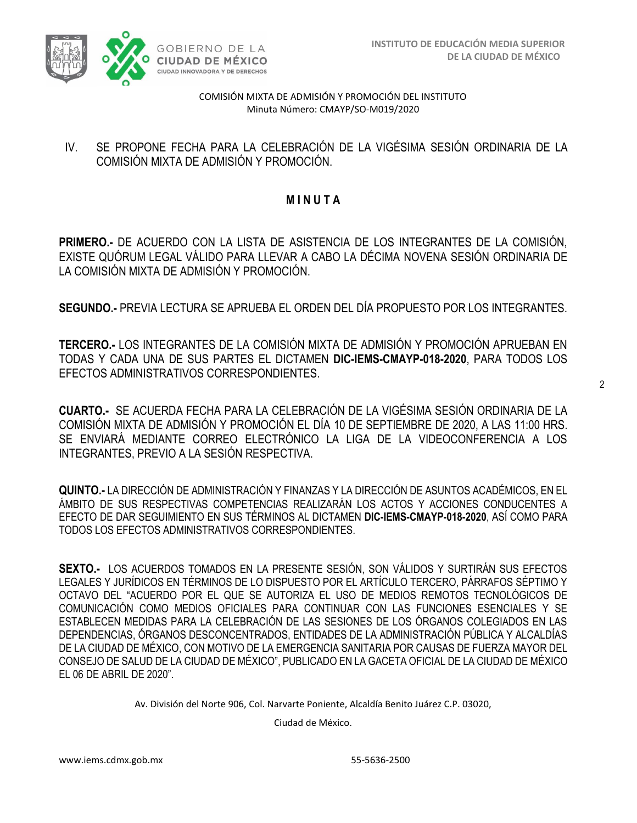

### IV. SE PROPONE FECHA PARA LA CELEBRACIÓN DE LA VIGÉSIMA SESIÓN ORDINARIA DE LA COMISIÓN MIXTA DE ADMISIÓN Y PROMOCIÓN.

# **M I N U T A**

**PRIMERO.-** DE ACUERDO CON LA LISTA DE ASISTENCIA DE LOS INTEGRANTES DE LA COMISIÓN, EXISTE QUÓRUM LEGAL VÁLIDO PARA LLEVAR A CABO LA DÉCIMA NOVENA SESIÓN ORDINARIA DE LA COMISIÓN MIXTA DE ADMISIÓN Y PROMOCIÓN.

**SEGUNDO.-** PREVIA LECTURA SE APRUEBA EL ORDEN DEL DÍA PROPUESTO POR LOS INTEGRANTES.

**TERCERO.-** LOS INTEGRANTES DE LA COMISIÓN MIXTA DE ADMISIÓN Y PROMOCIÓN APRUEBAN EN TODAS Y CADA UNA DE SUS PARTES EL DICTAMEN **DIC-IEMS-CMAYP-018-2020**, PARA TODOS LOS EFECTOS ADMINISTRATIVOS CORRESPONDIENTES.

**CUARTO.-** SE ACUERDA FECHA PARA LA CELEBRACIÓN DE LA VIGÉSIMA SESIÓN ORDINARIA DE LA COMISIÓN MIXTA DE ADMISIÓN Y PROMOCIÓN EL DÍA 10 DE SEPTIEMBRE DE 2020, A LAS 11:00 HRS. SE ENVIARÁ MEDIANTE CORREO ELECTRÓNICO LA LIGA DE LA VIDEOCONFERENCIA A LOS INTEGRANTES, PREVIO A LA SESIÓN RESPECTIVA.

**QUINTO.-** LA DIRECCIÓN DE ADMINISTRACIÓN Y FINANZAS Y LA DIRECCIÓN DE ASUNTOS ACADÉMICOS, EN EL ÁMBITO DE SUS RESPECTIVAS COMPETENCIAS REALIZARÁN LOS ACTOS Y ACCIONES CONDUCENTES A EFECTO DE DAR SEGUIMIENTO EN SUS TÉRMINOS AL DICTAMEN **DIC-IEMS-CMAYP-018-2020**, ASÍ COMO PARA TODOS LOS EFECTOS ADMINISTRATIVOS CORRESPONDIENTES.

**SEXTO.-** LOS ACUERDOS TOMADOS EN LA PRESENTE SESIÓN, SON VÁLIDOS Y SURTIRÁN SUS EFECTOS LEGALES Y JURÍDICOS EN TÉRMINOS DE LO DISPUESTO POR EL ARTÍCULO TERCERO, PÁRRAFOS SÉPTIMO Y OCTAVO DEL "ACUERDO POR EL QUE SE AUTORIZA EL USO DE MEDIOS REMOTOS TECNOLÓGICOS DE COMUNICACIÓN COMO MEDIOS OFICIALES PARA CONTINUAR CON LAS FUNCIONES ESENCIALES Y SE ESTABLECEN MEDIDAS PARA LA CELEBRACIÓN DE LAS SESIONES DE LOS ÓRGANOS COLEGIADOS EN LAS DEPENDENCIAS, ÓRGANOS DESCONCENTRADOS, ENTIDADES DE LA ADMINISTRACIÓN PÚBLICA Y ALCALDÍAS DE LA CIUDAD DE MÉXICO, CON MOTIVO DE LA EMERGENCIA SANITARIA POR CAUSAS DE FUERZA MAYOR DEL CONSEJO DE SALUD DE LA CIUDAD DE MÉXICO", PUBLICADO EN LA GACETA OFICIAL DE LA CIUDAD DE MÉXICO EL 06 DE ABRIL DE 2020".

Av. División del Norte 906, Col. Narvarte Poniente, Alcaldía Benito Juárez C.P. 03020,

Ciudad de México.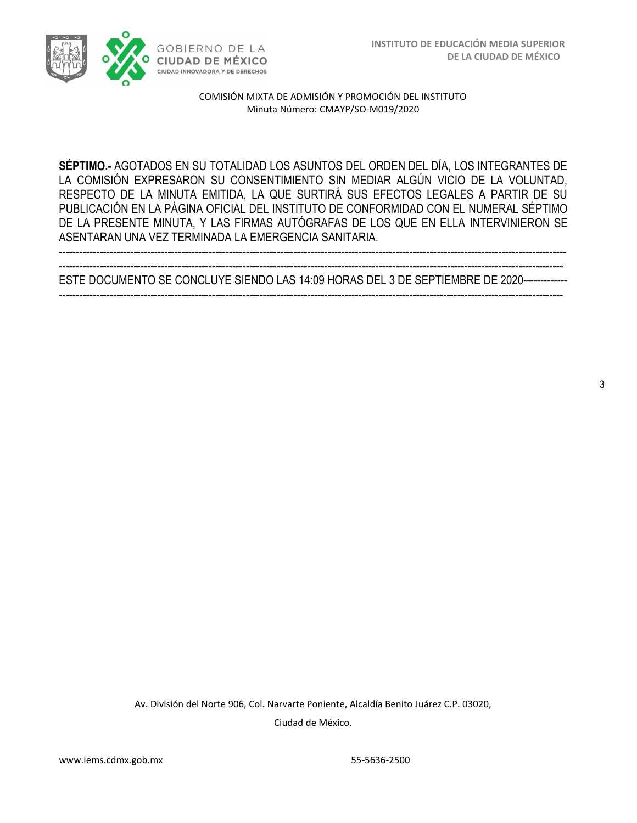

**SÉPTIMO.-** AGOTADOS EN SU TOTALIDAD LOS ASUNTOS DEL ORDEN DEL DÍA, LOS INTEGRANTES DE LA COMISIÓN EXPRESARON SU CONSENTIMIENTO SIN MEDIAR ALGÚN VICIO DE LA VOLUNTAD, RESPECTO DE LA MINUTA EMITIDA, LA QUE SURTIRÁ SUS EFECTOS LEGALES A PARTIR DE SU PUBLICACIÓN EN LA PÁGINA OFICIAL DEL INSTITUTO DE CONFORMIDAD CON EL NUMERAL SÉPTIMO DE LA PRESENTE MINUTA, Y LAS FIRMAS AUTÓGRAFAS DE LOS QUE EN ELLA INTERVINIERON SE ASENTARAN UNA VEZ TERMINADA LA EMERGENCIA SANITARIA.

---------------------------------------------------------------------------------------------------------------------------------------------------- ESTE DOCUMENTO SE CONCLUYE SIENDO LAS 14:09 HORAS DEL 3 DE SEPTIEMBRE DE 2020------------- ----------------------------------------------------------------------------------------------------------------------------------------------------

-----------------------------------------------------------------------------------------------------------------------------------------------------

3

Av. División del Norte 906, Col. Narvarte Poniente, Alcaldía Benito Juárez C.P. 03020, Ciudad de México.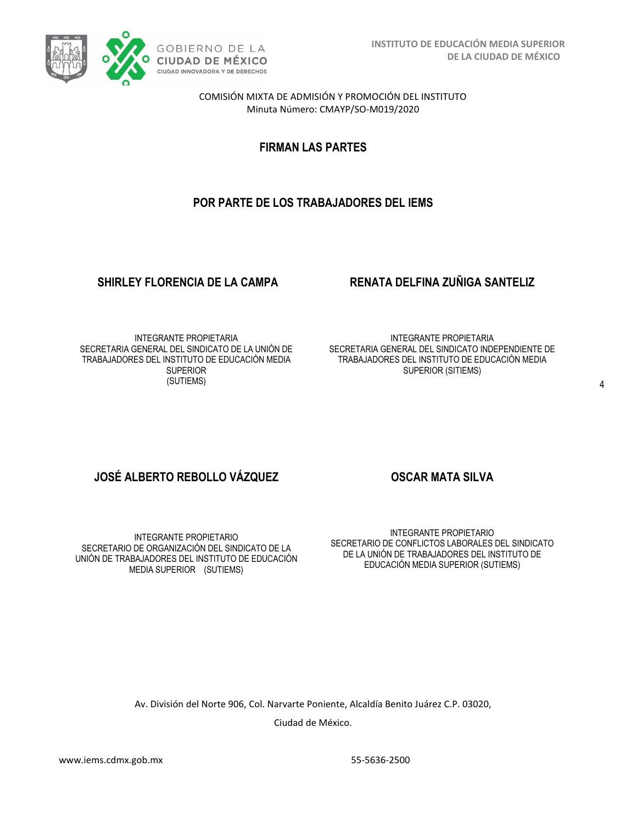

**FIRMAN LAS PARTES**

# **POR PARTE DE LOS TRABAJADORES DEL IEMS**

## **SHIRLEY FLORENCIA DE LA CAMPA RENATA DELFINA ZUÑIGA SANTELIZ**

INTEGRANTE PROPIETARIA SECRETARIA GENERAL DEL SINDICATO DE LA UNIÓN DE TRABAJADORES DEL INSTITUTO DE EDUCACIÓN MEDIA **SUPERIOR** (SUTIEMS)

INTEGRANTE PROPIETARIA SECRETARIA GENERAL DEL SINDICATO INDEPENDIENTE DE TRABAJADORES DEL INSTITUTO DE EDUCACIÓN MEDIA SUPERIOR (SITIEMS)

# **JOSÉ ALBERTO REBOLLO VÁZQUEZ OSCAR MATA SILVA**

INTEGRANTE PROPIETARIO SECRETARIO DE ORGANIZACIÓN DEL SINDICATO DE LA UNIÓN DE TRABAJADORES DEL INSTITUTO DE EDUCACIÓN MEDIA SUPERIOR (SUTIEMS)

INTEGRANTE PROPIETARIO SECRETARIO DE CONFLICTOS LABORALES DEL SINDICATO DE LA UNIÓN DE TRABAJADORES DEL INSTITUTO DE EDUCACIÓN MEDIA SUPERIOR (SUTIEMS)

Av. División del Norte 906, Col. Narvarte Poniente, Alcaldía Benito Juárez C.P. 03020,

Ciudad de México.